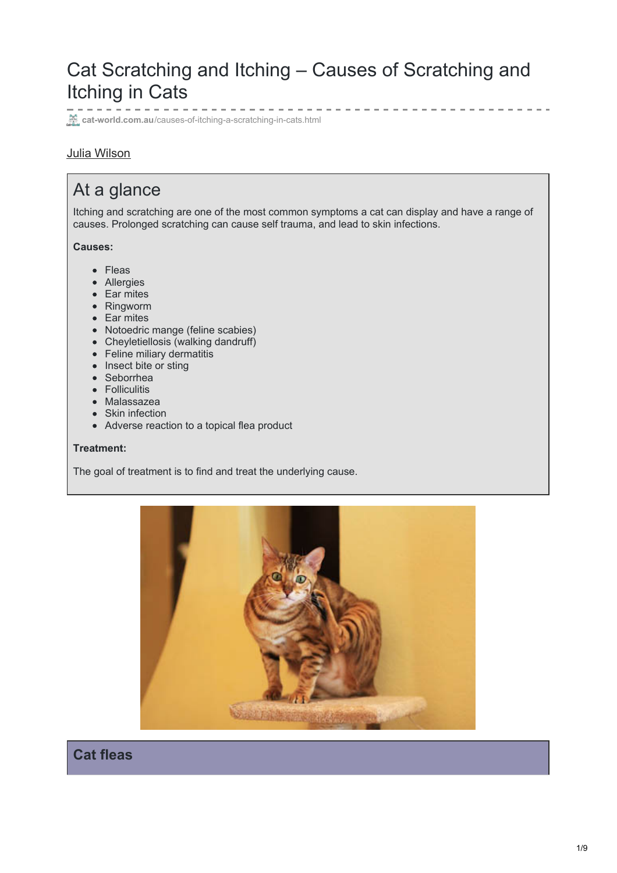# Cat Scratching and Itching – Causes of Scratching and Itching in Cats

**cat-world.com.au[/causes-of-itching-a-scratching-in-cats.html](https://www.cat-world.com.au/causes-of-itching-a-scratching-in-cats.html)** 

### Julia [Wilson](https://www.cat-world.com.au/author/juliawilson)

# At a glance

Itching and scratching are one of the most common symptoms a cat can display and have a range of causes. Prolonged scratching can cause self trauma, and lead to skin infections.

#### **Causes:**

- Fleas
- Allergies
- Ear mites
- Ringworm
- Ear mites
- Notoedric mange (feline scabies)
- Cheyletiellosis (walking dandruff)
- Feline miliary dermatitis
- Insect bite or sting
- Seborrhea
- Folliculitis
- Malassazea
- Skin infection
- Adverse reaction to a topical flea product

#### **Treatment:**

The goal of treatment is to find and treat the underlying cause.



**Cat fleas**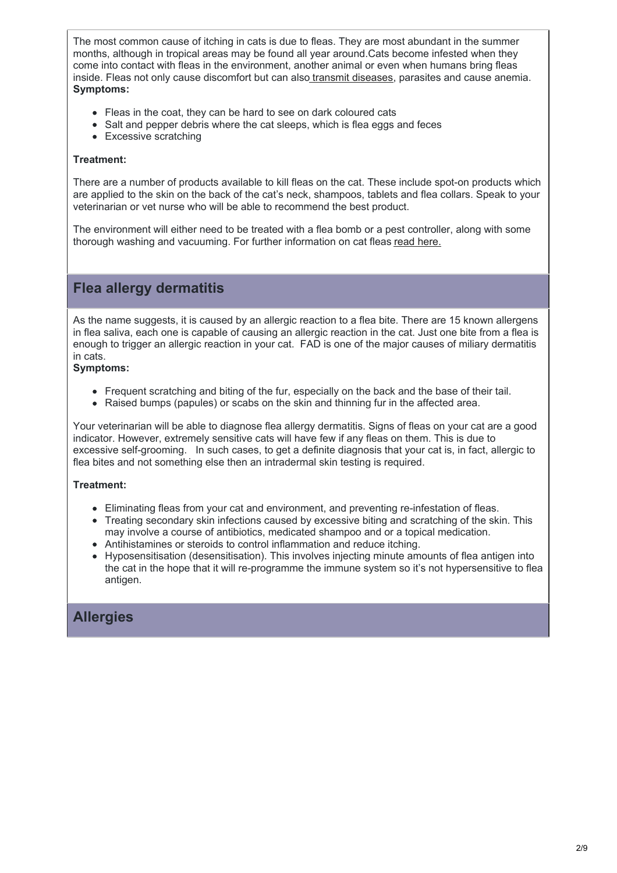The most common cause of itching in cats is due to fleas. They are most abundant in the summer months, although in tropical areas may be found all year around.Cats become infested when they come into contact with fleas in the environment, another animal or even when humans bring fleas inside. Fleas not only cause discomfort but can also transmit [diseases](https://www.cat-world.com.au/flea-transmitted-diseases-in-cats.html), parasites and cause anemia. **Symptoms:**

- Fleas in the coat, they can be hard to see on dark coloured cats
- Salt and pepper debris where the cat sleeps, which is flea eggs and feces
- Excessive scratching

#### **Treatment:**

There are a number of products available to kill fleas on the cat. These include spot-on products which are applied to the skin on the back of the cat's neck, shampoos, tablets and flea collars. Speak to your veterinarian or vet nurse who will be able to recommend the best product.

The environment will either need to be treated with a flea bomb or a pest controller, along with some thorough washing and vacuuming. For further information on cat fleas read [here.](http://www.cat-world.com.au/flea-control-for-pets-a-homes.html)

### **Flea allergy dermatitis**

As the name suggests, it is caused by an allergic reaction to a flea bite. There are 15 known allergens in flea saliva, each one is capable of causing an allergic reaction in the cat. Just one bite from a flea is enough to trigger an allergic reaction in your cat. FAD is one of the major causes of miliary dermatitis in cats.

#### **Symptoms:**

- Frequent scratching and biting of the fur, especially on the back and the base of their tail.
- Raised bumps (papules) or scabs on the skin and thinning fur in the affected area.

Your veterinarian will be able to diagnose flea allergy dermatitis. Signs of fleas on your cat are a good indicator. However, extremely sensitive cats will have few if any fleas on them. This is due to excessive self-grooming. In such cases, to get a definite diagnosis that your cat is, in fact, allergic to flea bites and not something else then an intradermal skin testing is required.

#### **Treatment:**

- Eliminating fleas from your cat and environment, and preventing re-infestation of fleas.
- Treating secondary skin infections caused by excessive biting and scratching of the skin. This may involve a course of antibiotics, medicated shampoo and or a topical medication.
- Antihistamines or steroids to control inflammation and reduce itching.
- Hyposensitisation (desensitisation). This involves injecting minute amounts of flea antigen into the cat in the hope that it will re-programme the immune system so it's not hypersensitive to flea antigen.

## **Allergies**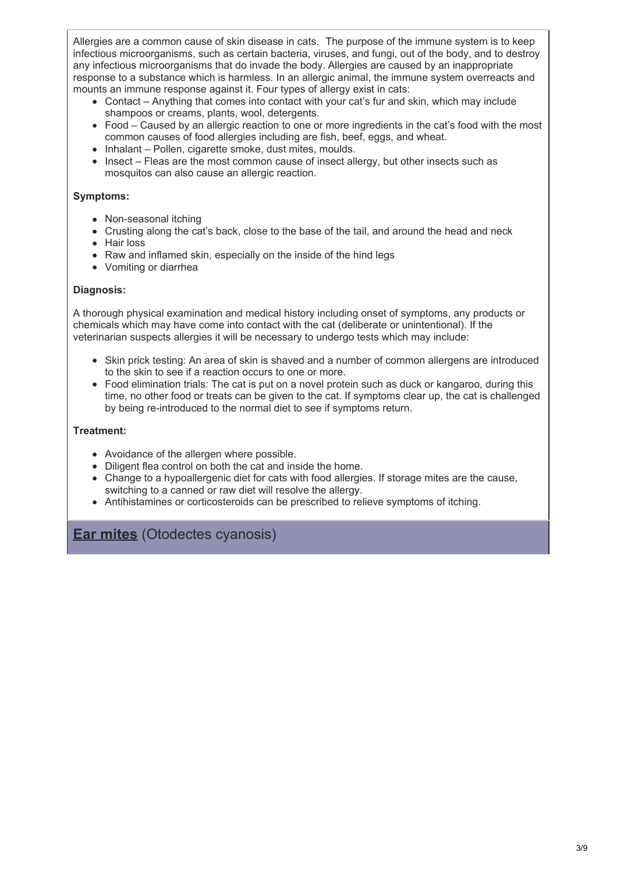Allergies are a common cause of skin disease in cats. The purpose of the immune system is to keep infectious microorganisms, such as certain bacteria, viruses, and fungi, out of the body, and to destroy any infectious microorganisms that do invade the body. Allergies are caused by an inappropriate response to a substance which is harmless. In an allergic animal, the immune system overreacts and mounts an immune response against it. Four types of allergy exist in cats:

- Contact Anything that comes into contact with your cat's fur and skin, which may include shampoos or creams, plants, wool, detergents.
- Food Caused by an allergic reaction to one or more ingredients in the cat's food with the most common causes of food allergies including are fish, beef, eggs, and wheat.
- Inhalant Pollen, cigarette smoke, dust mites, moulds.
- Insect Fleas are the most common cause of insect allergy, but other insects such as mosquitos can also cause an allergic reaction.

#### **Symptoms:**

- Non-seasonal itching
- Crusting along the cat's back, close to the base of the tail, and around the head and neck
- Hair loss
- Raw and inflamed skin, especially on the inside of the hind legs
- Vomiting or diarrhea

#### **Diagnosis:**

A thorough physical examination and medical history including onset of symptoms, any products or chemicals which may have come into contact with the cat (deliberate or unintentional). If the veterinarian suspects allergies it will be necessary to undergo tests which may include:

- Skin prick testing: An area of skin is shaved and a number of common allergens are introduced to the skin to see if a reaction occurs to one or more.
- Food elimination trials: The cat is put on a novel protein such as duck or kangaroo, during this time, no other food or treats can be given to the cat. If symptoms clear up, the cat is challenged by being re-introduced to the normal diet to see if symptoms return.

#### **Treatment:**

- Avoidance of the allergen where possible.
- Diligent flea control on both the cat and inside the home.
- Change to a hypoallergenic diet for cats with food allergies. If storage mites are the cause, switching to a canned or raw diet will resolve the allergy.
- Antihistamines or corticosteroids can be prescribed to relieve symptoms of itching.

### **Ear mites** (Otodectes cyanosis)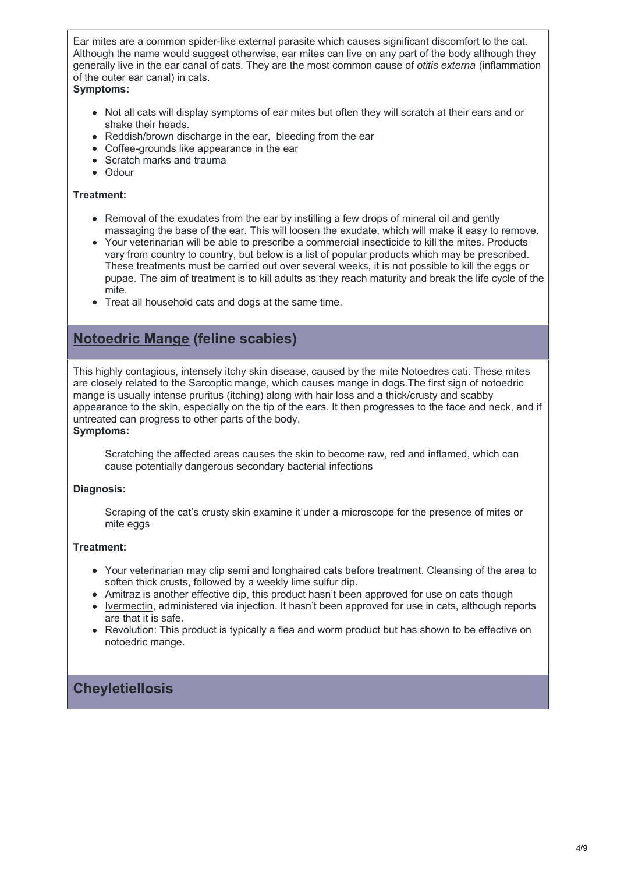Ear mites are a common spider-like external parasite which causes significant discomfort to the cat. Although the name would suggest otherwise, ear mites can live on any part of the body although they generally live in the ear canal of cats. They are the most common cause of *otitis externa* (inflammation of the outer ear canal) in cats.

#### **Symptoms:**

- Not all cats will display symptoms of ear mites but often they will scratch at their ears and or shake their heads.
- Reddish/brown discharge in the ear, bleeding from the ear
- Coffee-grounds like appearance in the ear
- Scratch marks and trauma
- Odour

#### **Treatment:**

- Removal of the exudates from the ear by instilling a few drops of mineral oil and gently massaging the base of the ear. This will loosen the exudate, which will make it easy to remove.
- Your veterinarian will be able to prescribe a commercial insecticide to kill the mites. Products vary from country to country, but below is a list of popular products which may be prescribed. These treatments must be carried out over several weeks, it is not possible to kill the eggs or pupae. The aim of treatment is to kill adults as they reach maturity and break the life cycle of the mite.
- Treat all household cats and dogs at the same time.

## **Notoedric Mange (feline scabies)**

This highly contagious, intensely itchy skin disease, caused by the mite Notoedres cati. These mites are closely related to the Sarcoptic mange, which causes mange in dogs.The first sign of notoedric mange is usually intense pruritus (itching) along with hair loss and a thick/crusty and scabby appearance to the skin, especially on the tip of the ears. It then progresses to the face and neck, and if untreated can progress to other parts of the body.

#### **Symptoms:**

Scratching the affected areas causes the skin to become raw, red and inflamed, which can cause potentially dangerous secondary bacterial infections

#### **Diagnosis:**

Scraping of the cat's crusty skin examine it under a microscope for the presence of mites or mite eggs

#### **Treatment:**

- Your veterinarian may clip semi and longhaired cats before treatment. Cleansing of the area to soften thick crusts, followed by a weekly lime sulfur dip.
- Amitraz is another effective dip, this product hasn't been approved for use on cats though
- [Ivermectin](https://www.cat-world.com.au/ivermectin-for-cats-uses-dosage-and-more.html), administered via injection. It hasn't been approved for use in cats, although reports are that it is safe.
- Revolution: This product is typically a flea and worm product but has shown to be effective on notoedric mange.

## **Cheyletiellosis**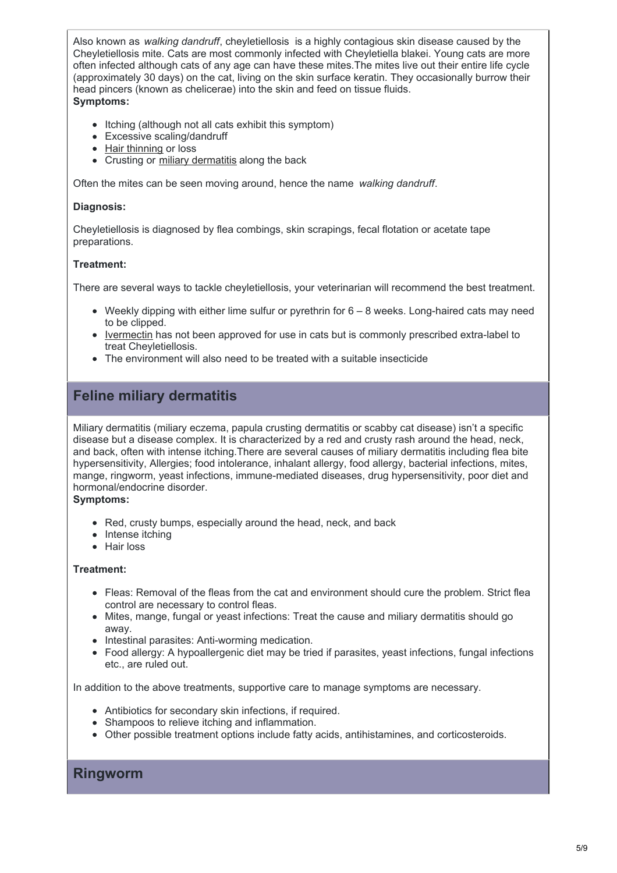Also known as *walking dandruff*, cheyletiellosis is a highly contagious skin disease caused by the Cheyletiellosis mite. Cats are most commonly infected with Cheyletiella blakei. Young cats are more often infected although cats of any age can have these mites.The mites live out their entire life cycle (approximately 30 days) on the cat, living on the skin surface keratin. They occasionally burrow their head pincers (known as chelicerae) into the skin and feed on tissue fluids. **Symptoms:**

- Itching (although not all cats exhibit this symptom)  $\bullet$
- Excessive scaling/dandruff
- Hair [thinning](https://www.cat-world.com.au/hair-loss-in-cats) or loss
- Crusting or miliary [dermatitis](https://www.cat-world.com.au/miliary-dermatitis-in-cats) along the back

Often the mites can be seen moving around, hence the name *walking dandruff*.

#### **Diagnosis:**

Cheyletiellosis is diagnosed by flea combings, skin scrapings, fecal flotation or acetate tape preparations.

#### **Treatment:**

There are several ways to tackle cheyletiellosis, your veterinarian will recommend the best treatment.

- $\bullet$  Weekly dipping with either lime sulfur or pyrethrin for  $6 8$  weeks. Long-haired cats may need to be clipped.
- [Ivermectin](https://www.cat-world.com.au/ivermectin-for-cats-uses-dosage-and-more.html) has not been approved for use in cats but is commonly prescribed extra-label to treat Cheyletiellosis.
- The environment will also need to be treated with a suitable insecticide

## **Feline miliary dermatitis**

Miliary dermatitis (miliary eczema, papula crusting dermatitis or scabby cat disease) isn't a specific disease but a disease complex. It is characterized by a red and crusty rash around the head, neck, and back, often with intense itching.There are several causes of miliary dermatitis including flea bite hypersensitivity, Allergies; food intolerance, inhalant allergy, food allergy, bacterial infections, mites, mange, ringworm, yeast infections, immune-mediated diseases, drug hypersensitivity, poor diet and hormonal/endocrine disorder.

**Symptoms:**

- Red, crusty bumps, especially around the head, neck, and back
- Intense itching
- Hair loss

#### **Treatment:**

- Fleas: Removal of the fleas from the cat and environment should cure the problem. Strict flea control are necessary to control fleas.
- Mites, mange, fungal or yeast infections: Treat the cause and miliary dermatitis should go away.
- Intestinal parasites: Anti-worming medication.
- Food allergy: A hypoallergenic diet may be tried if parasites, yeast infections, fungal infections etc., are ruled out.

In addition to the above treatments, supportive care to manage symptoms are necessary.

- Antibiotics for secondary skin infections, if required.
- Shampoos to relieve itching and inflammation.
- Other possible treatment options include fatty acids, antihistamines, and corticosteroids.

### **Ringworm**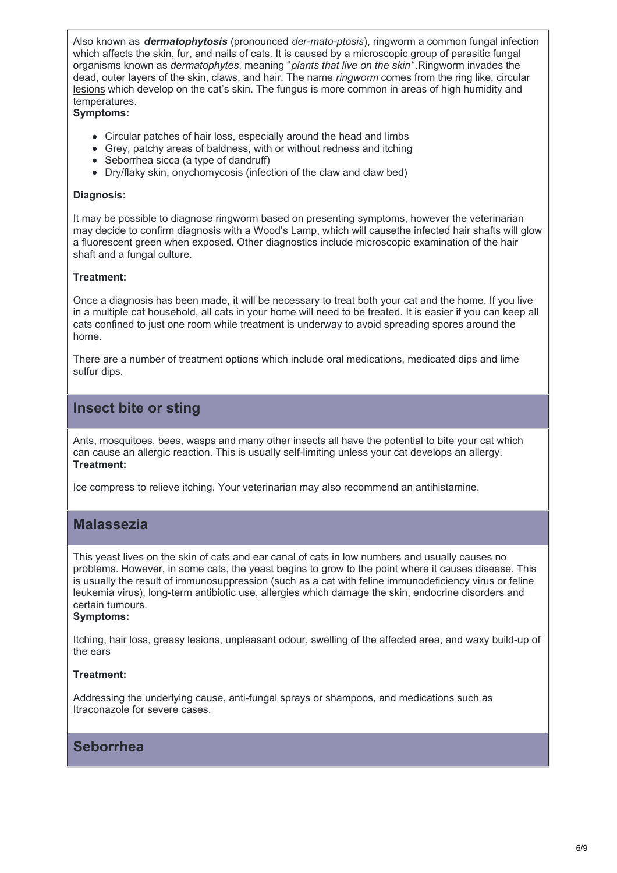Also known as *dermatophytosis* (pronounced *der-mato-ptosis*), ringworm a common fungal infection which affects the skin, fur, and nails of cats. It is caused by a microscopic group of parasitic fungal organisms known as *dermatophytes*, meaning "*plants that live on the skin*".Ringworm invades the dead, outer layers of the skin, claws, and hair. The name *ringworm* comes from the ring like, circular [lesions](https://www.cat-world.com.au/skin-lesions-in-cats.html) which develop on the cat's skin. The fungus is more common in areas of high humidity and temperatures.

#### **Symptoms:**

- Circular patches of hair loss, especially around the head and limbs
- Grey, patchy areas of baldness, with or without redness and itching
- Seborrhea sicca (a type of dandruff)
- Dry/flaky skin, onychomycosis (infection of the claw and claw bed)

#### **Diagnosis:**

It may be possible to diagnose ringworm based on presenting symptoms, however the veterinarian may decide to confirm diagnosis with a Wood's Lamp, which will causethe infected hair shafts will glow a fluorescent green when exposed. Other diagnostics include microscopic examination of the hair shaft and a fungal culture.

#### **Treatment:**

Once a diagnosis has been made, it will be necessary to treat both your cat and the home. If you live in a multiple cat household, all cats in your home will need to be treated. It is easier if you can keep all cats confined to just one room while treatment is underway to avoid spreading spores around the home.

There are a number of treatment options which include oral medications, medicated dips and lime sulfur dips.

## **Insect bite or sting**

Ants, mosquitoes, bees, wasps and many other insects all have the potential to bite your cat which can cause an allergic reaction. This is usually self-limiting unless your cat develops an allergy. **Treatment:**

Ice compress to relieve itching. Your veterinarian may also recommend an antihistamine.

## **Malassezia**

This yeast lives on the skin of cats and ear canal of cats in low numbers and usually causes no problems. However, in some cats, the yeast begins to grow to the point where it causes disease. This is usually the result of immunosuppression (such as a cat with feline immunodeficiency virus or feline leukemia virus), long-term antibiotic use, allergies which damage the skin, endocrine disorders and certain tumours.

#### **Symptoms:**

Itching, hair loss, greasy lesions, unpleasant odour, swelling of the affected area, and waxy build-up of the ears

#### **Treatment:**

Addressing the underlying cause, anti-fungal sprays or shampoos, and medications such as Itraconazole for severe cases.

### **Seborrhea**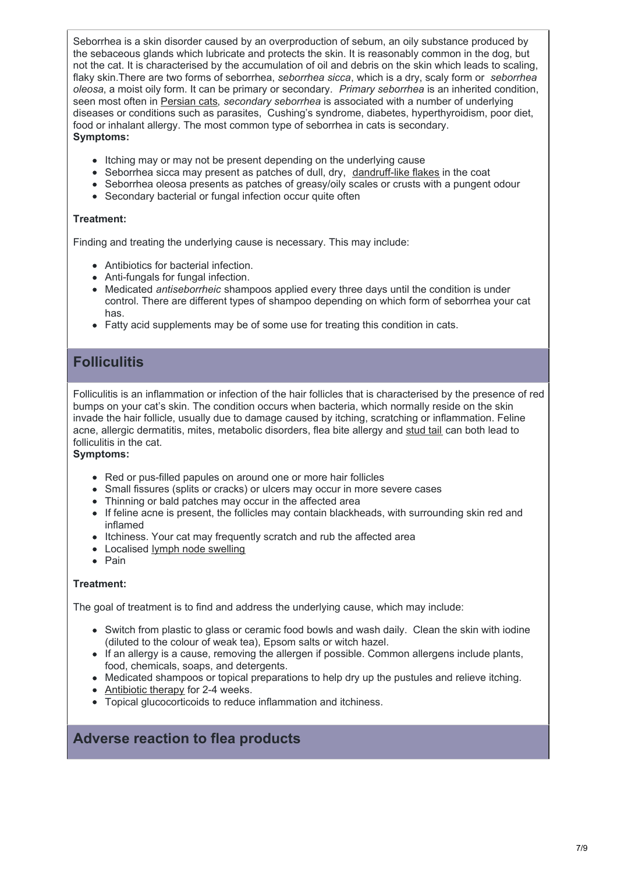Seborrhea is a skin disorder caused by an overproduction of sebum, an oily substance produced by the sebaceous glands which lubricate and protects the skin. It is reasonably common in the dog, but not the cat. It is characterised by the accumulation of oil and debris on the skin which leads to scaling, flaky skin.There are two forms of seborrhea, *seborrhea sicca*, which is a dry, scaly form or *seborrhea oleosa*, a moist oily form. It can be primary or secondary. *Primary seborrhea* is an inherited condition, seen most often in [Persian](https://www.cat-world.com.au/persian-cat-breed-profile.html) cats, *secondary seborrhea* is associated with a number of underlying diseases or conditions such as parasites, Cushing's syndrome, diabetes, hyperthyroidism, poor diet, food or inhalant allergy. The most common type of seborrhea in cats is secondary. **Symptoms:**

- Itching may or may not be present depending on the underlying cause
- Seborrhea sicca may present as patches of dull, dry, [dandruff-like](https://www.cat-world.com.au/cat-dandruff.html) flakes in the coat
- Seborrhea oleosa presents as patches of greasy/oily scales or crusts with a pungent odour
- Secondary bacterial or fungal infection occur quite often

#### **Treatment:**

Finding and treating the underlying cause is necessary. This may include:

- Antibiotics for bacterial infection.
- Anti-fungals for fungal infection.
- Medicated *antiseborrheic* shampoos applied every three days until the condition is under control. There are different types of shampoo depending on which form of seborrhea your cat has.
- Fatty acid supplements may be of some use for treating this condition in cats.

## **Folliculitis**

Folliculitis is an inflammation or infection of the hair follicles that is characterised by the presence of red bumps on your cat's skin. The condition occurs when bacteria, which normally reside on the skin invade the hair follicle, usually due to damage caused by itching, scratching or inflammation. Feline acne, allergic dermatitis, mites, metabolic disorders, flea bite allergy and [stud](https://www.cat-world.com.au/stud-tail-in-cats) tail can both lead to folliculitis in the cat.

#### **Symptoms:**

- Red or pus-filled papules on around one or more hair follicles
- Small fissures (splits or cracks) or ulcers may occur in more severe cases
- Thinning or bald patches may occur in the affected area
- If feline acne is present, the follicles may contain blackheads, with surrounding skin red and inflamed
- Itchiness. Your cat may frequently scratch and rub the affected area
- Localised lymph node [swelling](https://www.cat-world.com.au/Cat-Health-Collection/swollen-lymph-nodes-in-cats.html)
- $\bullet$  Pain

#### **Treatment:**

The goal of treatment is to find and address the underlying cause, which may include:

- Switch from plastic to glass or ceramic food bowls and wash daily. Clean the skin with iodine (diluted to the colour of weak tea), Epsom salts or witch hazel.
- If an allergy is a cause, removing the allergen if possible. Common allergens include plants, food, chemicals, soaps, and detergents.
- Medicated shampoos or topical preparations to help dry up the pustules and relieve itching.
- [Antibiotic](https://www.cat-world.com.au/cat-antibiotics.html) therapy for 2-4 weeks.
- Topical glucocorticoids to reduce inflammation and itchiness.

## **Adverse reaction to flea products**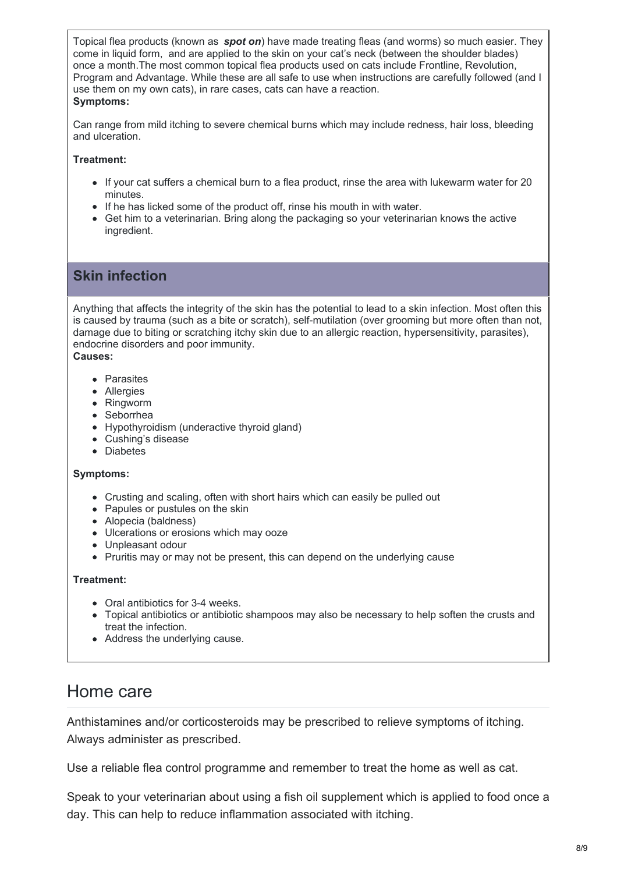Topical flea products (known as *spot on*) have made treating fleas (and worms) so much easier. They come in liquid form, and are applied to the skin on your cat's neck (between the shoulder blades) once a month.The most common topical flea products used on cats include Frontline, Revolution, Program and Advantage. While these are all safe to use when instructions are carefully followed (and I use them on my own cats), in rare cases, cats can have a reaction. **Symptoms:**

Can range from mild itching to severe chemical burns which may include redness, hair loss, bleeding and ulceration.

#### **Treatment:**

- If your cat suffers a chemical burn to a flea product, rinse the area with lukewarm water for 20 minutes.
- If he has licked some of the product off, rinse his mouth in with water.
- Get him to a veterinarian. Bring along the packaging so your veterinarian knows the active ingredient.

## **Skin infection**

Anything that affects the integrity of the skin has the potential to lead to a skin infection. Most often this is caused by trauma (such as a bite or scratch), self-mutilation (over grooming but more often than not, damage due to biting or scratching itchy skin due to an allergic reaction, hypersensitivity, parasites), endocrine disorders and poor immunity.

**Causes:**

- Parasites
- Allergies
- Ringworm
- Seborrhea
- Hypothyroidism (underactive thyroid gland)
- Cushing's disease
- Diabetes

#### **Symptoms:**

- Crusting and scaling, often with short hairs which can easily be pulled out
- Papules or pustules on the skin
- Alopecia (baldness)
- Ulcerations or erosions which may ooze
- Unpleasant odour
- Pruritis may or may not be present, this can depend on the underlying cause

#### **Treatment:**

- Oral antibiotics for 3-4 weeks.
- Topical antibiotics or antibiotic shampoos may also be necessary to help soften the crusts and treat the infection.
- Address the underlying cause.

# Home care

Anthistamines and/or corticosteroids may be prescribed to relieve symptoms of itching. Always administer as prescribed.

Use a reliable flea control programme and remember to treat the home as well as cat.

Speak to your veterinarian about using a fish oil supplement which is applied to food once a day. This can help to reduce inflammation associated with itching.